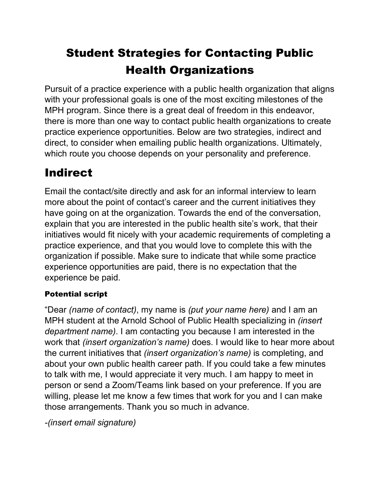# Student Strategies for Contacting Public Health Organizations

Pursuit of a practice experience with a public health organization that aligns with your professional goals is one of the most exciting milestones of the MPH program. Since there is a great deal of freedom in this endeavor, there is more than one way to contact public health organizations to create practice experience opportunities. Below are two strategies, indirect and direct, to consider when emailing public health organizations. Ultimately, which route you choose depends on your personality and preference.

## **Indirect**

Email the contact/site directly and ask for an informal interview to learn more about the point of contact's career and the current initiatives they have going on at the organization. Towards the end of the conversation, explain that you are interested in the public health site's work, that their initiatives would fit nicely with your academic requirements of completing a practice experience, and that you would love to complete this with the organization if possible. Make sure to indicate that while some practice experience opportunities are paid, there is no expectation that the experience be paid.

### Potential script

"Dear *(name of contact)*, my name is *(put your name here)* and I am an MPH student at the Arnold School of Public Health specializing in *(insert department name)*. I am contacting you because I am interested in the work that *(insert organization's name)* does. I would like to hear more about the current initiatives that *(insert organization's name)* is completing, and about your own public health career path. If you could take a few minutes to talk with me, I would appreciate it very much. I am happy to meet in person or send a Zoom/Teams link based on your preference. If you are willing, please let me know a few times that work for you and I can make those arrangements. Thank you so much in advance.

*-(insert email signature)*